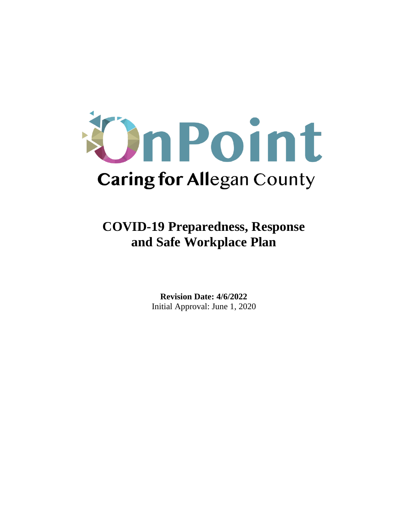

**COVID-19 Preparedness, Response and Safe Workplace Plan**

> **Revision Date: 4/6/2022** Initial Approval: June 1, 2020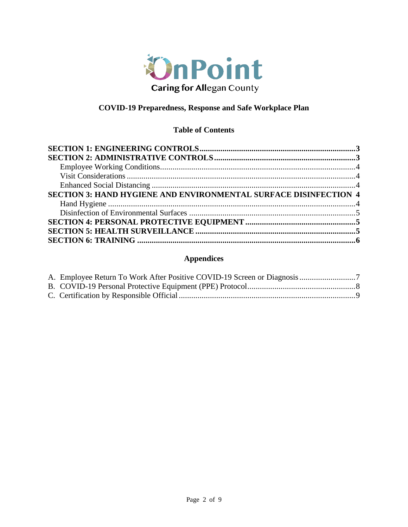

# **COVID-19 Preparedness, Response and Safe Workplace Plan**

# **Table of Contents**

| <b>SECTION 3: HAND HYGIENE AND ENVIRONMENTAL SURFACE DISINFECTION 4</b> |  |
|-------------------------------------------------------------------------|--|
|                                                                         |  |
|                                                                         |  |
|                                                                         |  |
|                                                                         |  |
|                                                                         |  |

# **Appendices**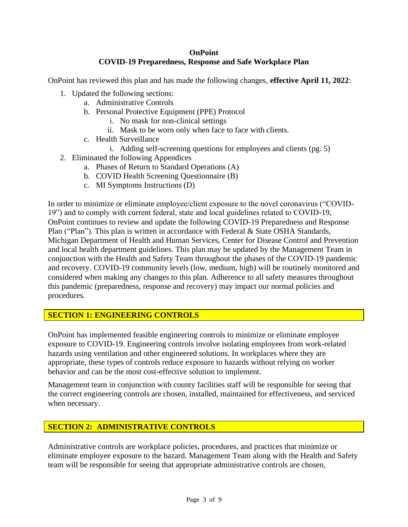# **OnPoint COVID-19 Preparedness, Response and Safe Workplace Plan**

OnPoint has reviewed this plan and has made the following changes, **effective April 11, 2022**:

- 1. Updated the following sections:
	- a. Administrative Controls
	- b. Personal Protective Equipment (PPE) Protocol
		- i. No mask for non-clinical settings
		- ii. Mask to be worn only when face to face with clients.
	- c. Health Surveillance
		- i. Adding self-screening questions for employees and clients (pg. 5)
- 2. Eliminated the following Appendices
	- a. Phases of Return to Standard Operations (A)
	- b. COVID Health Screening Questionnaire (B)
	- c. MI Symptoms Instructions (D)

In order to minimize or eliminate employee/client exposure to the novel coronavirus ("COVID-19") and to comply with current federal, state and local guidelines related to COVID-19, OnPoint continues to review and update the following COVID-19 Preparedness and Response Plan ("Plan"). This plan is written in accordance with Federal & State OSHA Standards, Michigan Department of Health and Human Services, Center for Disease Control and Prevention and local health department guidelines. This plan may be updated by the Management Team in conjunction with the Health and Safety Team throughout the phases of the COVID-19 pandemic and recovery. COVID-19 community levels (low, medium, high) will be routinely monitored and considered when making any changes to this plan. Adherence to all safety measures throughout this pandemic (preparedness, response and recovery) may impact our normal policies and procedures.

# **SECTION 1: ENGINEERING CONTROLS**

OnPoint has implemented feasible engineering controls to minimize or eliminate employee exposure to COVID-19. Engineering controls involve isolating employees from work-related hazards using ventilation and other engineered solutions. In workplaces where they are appropriate, these types of controls reduce exposure to hazards without relying on worker behavior and can be the most cost-effective solution to implement.

Management team in conjunction with county facilities staff will be responsible for seeing that the correct engineering controls are chosen, installed, maintained for effectiveness, and serviced when necessary.

# **SECTION 2: ADMINISTRATIVE CONTROLS**

Administrative controls are workplace policies, procedures, and practices that minimize or eliminate employee exposure to the hazard. Management Team along with the Health and Safety team will be responsible for seeing that appropriate administrative controls are chosen,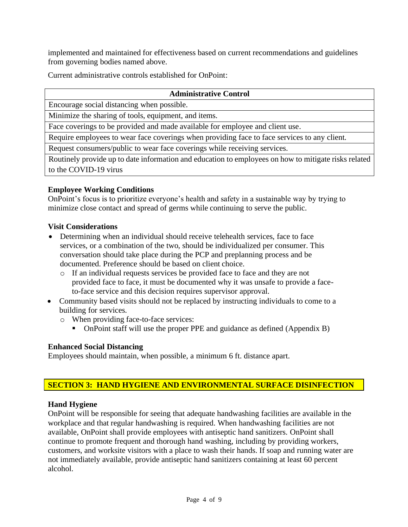implemented and maintained for effectiveness based on current recommendations and guidelines from governing bodies named above.

Current administrative controls established for OnPoint:

#### **Administrative Control**

Encourage social distancing when possible.

Minimize the sharing of tools, equipment, and items.

Face coverings to be provided and made available for employee and client use.

Require employees to wear face coverings when providing face to face services to any client.

Request consumers/public to wear face coverings while receiving services.

Routinely provide up to date information and education to employees on how to mitigate risks related to the COVID-19 virus

## **Employee Working Conditions**

OnPoint's focus is to prioritize everyone's health and safety in a sustainable way by trying to minimize close contact and spread of germs while continuing to serve the public.

### **Visit Considerations**

- Determining when an individual should receive telehealth services, face to face services, or a combination of the two, should be individualized per consumer. This conversation should take place during the PCP and preplanning process and be documented. Preference should be based on client choice.
	- o If an individual requests services be provided face to face and they are not provided face to face, it must be documented why it was unsafe to provide a faceto-face service and this decision requires supervisor approval.
- Community based visits should not be replaced by instructing individuals to come to a building for services.
	- o When providing face-to-face services:
		- OnPoint staff will use the proper PPE and guidance as defined (Appendix B)

### **Enhanced Social Distancing**

Employees should maintain, when possible, a minimum 6 ft. distance apart.

### **SECTION 3: HAND HYGIENE AND ENVIRONMENTAL SURFACE DISINFECTION**

### **Hand Hygiene**

OnPoint will be responsible for seeing that adequate handwashing facilities are available in the workplace and that regular handwashing is required. When handwashing facilities are not available, OnPoint shall provide employees with antiseptic hand sanitizers. OnPoint shall continue to promote frequent and thorough hand washing, including by providing workers, customers, and worksite visitors with a place to wash their hands. If soap and running water are not immediately available, provide antiseptic hand sanitizers containing at least 60 percent alcohol.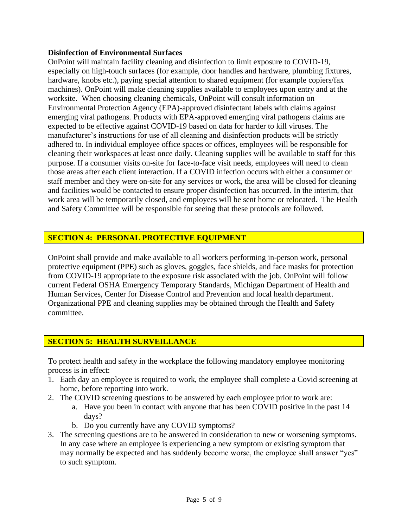### **Disinfection of Environmental Surfaces**

OnPoint will maintain facility cleaning and disinfection to limit exposure to COVID-19, especially on high-touch surfaces (for example, door handles and hardware, plumbing fixtures, hardware, knobs etc.), paying special attention to shared equipment (for example copiers/fax machines). OnPoint will make cleaning supplies available to employees upon entry and at the worksite. When choosing cleaning chemicals, OnPoint will consult information on Environmental Protection Agency (EPA)-approved disinfectant labels with claims against emerging viral pathogens. Products with EPA-approved emerging viral pathogens claims are expected to be effective against COVID-19 based on data for harder to kill viruses. The manufacturer's instructions for use of all cleaning and disinfection products will be strictly adhered to. In individual employee office spaces or offices, employees will be responsible for cleaning their workspaces at least once daily. Cleaning supplies will be available to staff for this purpose. If a consumer visits on-site for face-to-face visit needs, employees will need to clean those areas after each client interaction. If a COVID infection occurs with either a consumer or staff member and they were on-site for any services or work, the area will be closed for cleaning and facilities would be contacted to ensure proper disinfection has occurred. In the interim, that work area will be temporarily closed, and employees will be sent home or relocated. The Health and Safety Committee will be responsible for seeing that these protocols are followed.

# **SECTION 4: PERSONAL PROTECTIVE EQUIPMENT**

OnPoint shall provide and make available to all workers performing in-person work, personal protective equipment (PPE) such as gloves, goggles, face shields, and face masks for protection from COVID-19 appropriate to the exposure risk associated with the job. OnPoint will follow current Federal OSHA Emergency Temporary Standards, Michigan Department of Health and Human Services, Center for Disease Control and Prevention and local health department. Organizational PPE and cleaning supplies may be obtained through the Health and Safety committee.

# **SECTION 5: HEALTH SURVEILLANCE**

To protect health and safety in the workplace the following mandatory employee monitoring process is in effect:

- 1. Each day an employee is required to work, the employee shall complete a Covid screening at home, before reporting into work.
- 2. The COVID screening questions to be answered by each employee prior to work are:
	- a. Have you been in contact with anyone that has been COVID positive in the past 14 days?
	- b. Do you currently have any COVID symptoms?
- 3. The screening questions are to be answered in consideration to new or worsening symptoms. In any case where an employee is experiencing a new symptom or existing symptom that may normally be expected and has suddenly become worse, the employee shall answer "yes" to such symptom.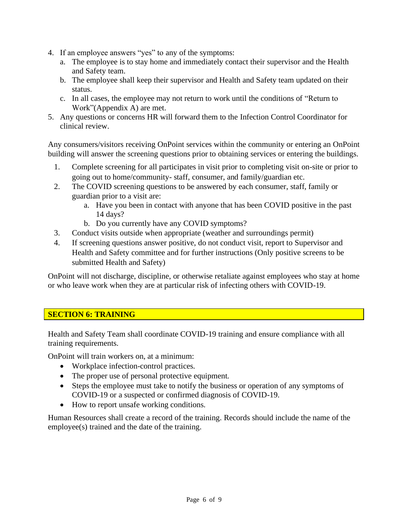- 4. If an employee answers "yes" to any of the symptoms:
	- a. The employee is to stay home and immediately contact their supervisor and the Health and Safety team.
	- b. The employee shall keep their supervisor and Health and Safety team updated on their status.
	- c. In all cases, the employee may not return to work until the conditions of "Return to Work"(Appendix A) are met.
- 5. Any questions or concerns HR will forward them to the Infection Control Coordinator for clinical review.

Any consumers/visitors receiving OnPoint services within the community or entering an OnPoint building will answer the screening questions prior to obtaining services or entering the buildings.

- 1. Complete screening for all participates in visit prior to completing visit on-site or prior to going out to home/community- staff, consumer, and family/guardian etc.
- 2. The COVID screening questions to be answered by each consumer, staff, family or guardian prior to a visit are:
	- a. Have you been in contact with anyone that has been COVID positive in the past 14 days?
	- b. Do you currently have any COVID symptoms?
- 3. Conduct visits outside when appropriate (weather and surroundings permit)
- 4. If screening questions answer positive, do not conduct visit, report to Supervisor and Health and Safety committee and for further instructions (Only positive screens to be submitted Health and Safety)

OnPoint will not discharge, discipline, or otherwise retaliate against employees who stay at home or who leave work when they are at particular risk of infecting others with COVID-19.

# **SECTION 6: TRAINING**

Health and Safety Team shall coordinate COVID-19 training and ensure compliance with all training requirements.

OnPoint will train workers on, at a minimum:

- Workplace infection-control practices.
- The proper use of personal protective equipment.
- Steps the employee must take to notify the business or operation of any symptoms of COVID-19 or a suspected or confirmed diagnosis of COVID-19.
- How to report unsafe working conditions.

Human Resources shall create a record of the training. Records should include the name of the employee(s) trained and the date of the training.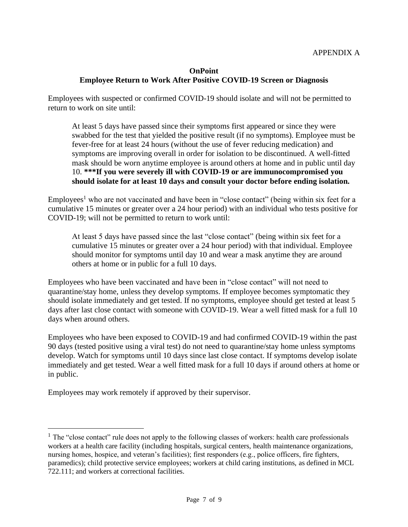# **OnPoint Employee Return to Work After Positive COVID-19 Screen or Diagnosis**

Employees with suspected or confirmed COVID-19 should isolate and will not be permitted to return to work on site until:

At least 5 days have passed since their symptoms first appeared or since they were swabbed for the test that yielded the positive result (if no symptoms). Employee must be fever-free for at least 24 hours (without the use of fever reducing medication) and symptoms are improving overall in order for isolation to be discontinued. A well-fitted mask should be worn anytime employee is around others at home and in public until day 10. **\*\*\*If you were severely ill with COVID-19 or are immunocompromised you should isolate for at least 10 days and consult your doctor before ending isolation.**

Employees<sup>1</sup> who are not vaccinated and have been in "close contact" (being within six feet for a cumulative 15 minutes or greater over a 24 hour period) with an individual who tests positive for COVID-19; will not be permitted to return to work until:

At least 5 days have passed since the last "close contact" (being within six feet for a cumulative 15 minutes or greater over a 24 hour period) with that individual. Employee should monitor for symptoms until day 10 and wear a mask anytime they are around others at home or in public for a full 10 days.

Employees who have been vaccinated and have been in "close contact" will not need to quarantine/stay home, unless they develop symptoms. If employee becomes symptomatic they should isolate immediately and get tested. If no symptoms, employee should get tested at least 5 days after last close contact with someone with COVID-19. Wear a well fitted mask for a full 10 days when around others.

Employees who have been exposed to COVID-19 and had confirmed COVID-19 within the past 90 days (tested positive using a viral test) do not need to quarantine/stay home unless symptoms develop. Watch for symptoms until 10 days since last close contact. If symptoms develop isolate immediately and get tested. Wear a well fitted mask for a full 10 days if around others at home or in public.

Employees may work remotely if approved by their supervisor.

 $<sup>1</sup>$  The "close contact" rule does not apply to the following classes of workers: health care professionals</sup> workers at a health care facility (including hospitals, surgical centers, health maintenance organizations, nursing homes, hospice, and veteran's facilities); first responders (e.g., police officers, fire fighters, paramedics); child protective service employees; workers at child caring institutions, as defined in MCL 722.111; and workers at correctional facilities.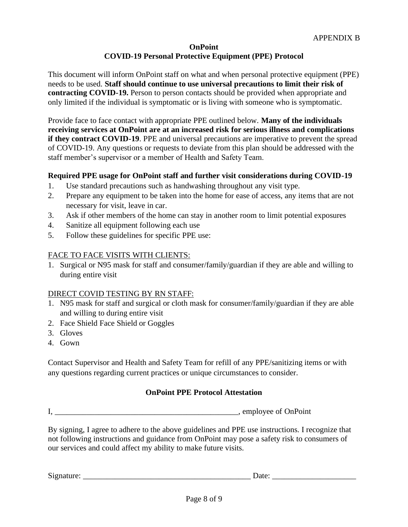### **OnPoint COVID-19 Personal Protective Equipment (PPE) Protocol**

This document will inform OnPoint staff on what and when personal protective equipment (PPE) needs to be used. **Staff should continue to use universal precautions to limit their risk of contracting COVID-19.** Person to person contacts should be provided when appropriate and only limited if the individual is symptomatic or is living with someone who is symptomatic.

Provide face to face contact with appropriate PPE outlined below. **Many of the individuals receiving services at OnPoint are at an increased risk for serious illness and complications if they contract COVID-19**. PPE and universal precautions are imperative to prevent the spread of COVID-19. Any questions or requests to deviate from this plan should be addressed with the staff member's supervisor or a member of Health and Safety Team.

## **Required PPE usage for OnPoint staff and further visit considerations during COVID-19**

- 1. Use standard precautions such as handwashing throughout any visit type.
- 2. Prepare any equipment to be taken into the home for ease of access, any items that are not necessary for visit, leave in car.
- 3. Ask if other members of the home can stay in another room to limit potential exposures
- 4. Sanitize all equipment following each use
- 5. Follow these guidelines for specific PPE use:

## FACE TO FACE VISITS WITH CLIENTS:

1. Surgical or N95 mask for staff and consumer/family/guardian if they are able and willing to during entire visit

### DIRECT COVID TESTING BY RN STAFF:

- 1. N95 mask for staff and surgical or cloth mask for consumer/family/guardian if they are able and willing to during entire visit
- 2. Face Shield Face Shield or Goggles
- 3. Gloves
- 4. Gown

Contact Supervisor and Health and Safety Team for refill of any PPE/sanitizing items or with any questions regarding current practices or unique circumstances to consider.

### **OnPoint PPE Protocol Attestation**

I. Suppose of OnPoint

By signing, I agree to adhere to the above guidelines and PPE use instructions. I recognize that not following instructions and guidance from OnPoint may pose a safety risk to consumers of our services and could affect my ability to make future visits.

Signature:  $\Box$